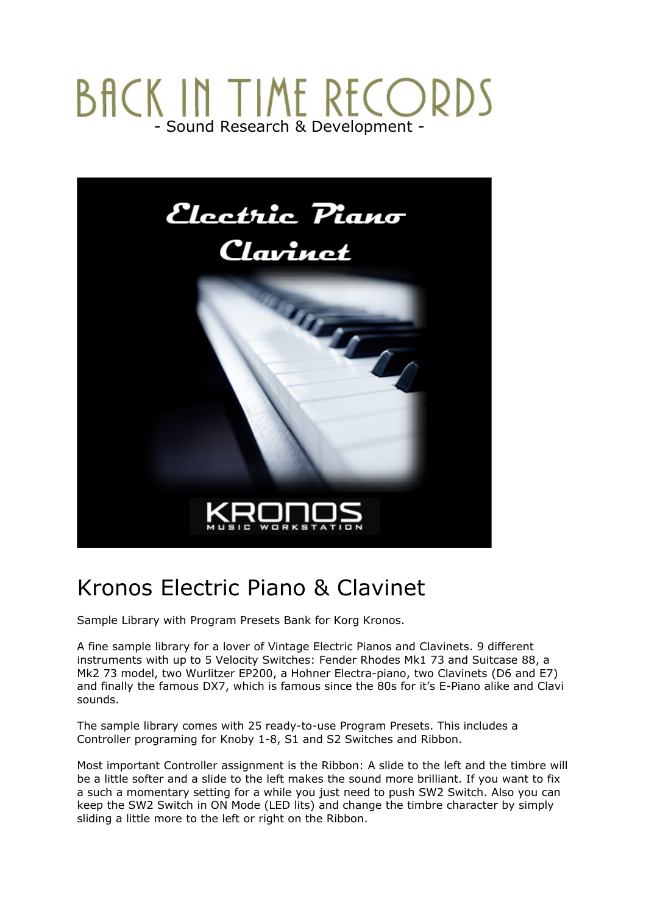# BACK IN TIME RECORDS



## Kronos Electric Piano & Clavinet

Sample Library with Program Presets Bank for Korg Kronos.

A fine sample library for a lover of Vintage Electric Pianos and Clavinets. 9 different instruments with up to 5 Velocity Switches: Fender Rhodes Mk1 73 and Suitcase 88, a Mk2 73 model, two Wurlitzer EP200, a Hohner Electra-piano, two Clavinets (D6 and E7) and finally the famous DX7, which is famous since the 80s for it's E-Piano alike and Clavi sounds.

The sample library comes with 25 ready-to-use Program Presets. This includes a Controller programing for Knoby 1-8, S1 and S2 Switches and Ribbon.

Most important Controller assignment is the Ribbon: A slide to the left and the timbre will be a little softer and a slide to the left makes the sound more brilliant. If you want to fix a such a momentary setting for a while you just need to push SW2 Switch. Also you can keep the SW2 Switch in ON Mode (LED lits) and change the timbre character by simply sliding a little more to the left or right on the Ribbon.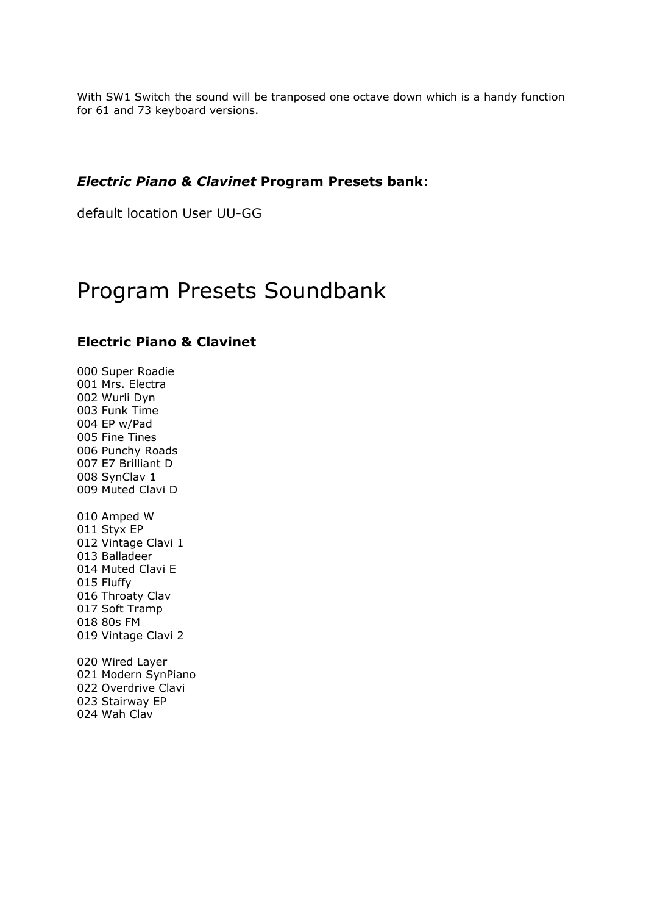With SW1 Switch the sound will be tranposed one octave down which is a handy function for 61 and 73 keyboard versions.

#### *Electric Piano & Clavinet* **Program Presets bank**:

default location User UU-GG

## Program Presets Soundbank

#### **Electric Piano & Clavinet**

000 Super Roadie 001 Mrs. Electra 002 Wurli Dyn 003 Funk Time 004 EP w/Pad 005 Fine Tines 006 Punchy Roads 007 E7 Brilliant D 008 SynClav 1 009 Muted Clavi D 010 Amped W 011 Styx EP 012 Vintage Clavi 1 013 Balladeer 014 Muted Clavi E 015 Fluffy 016 Throaty Clav 017 Soft Tramp 018 80s FM 019 Vintage Clavi 2

020 Wired Layer 021 Modern SynPiano 022 Overdrive Clavi 023 Stairway EP 024 Wah Clav